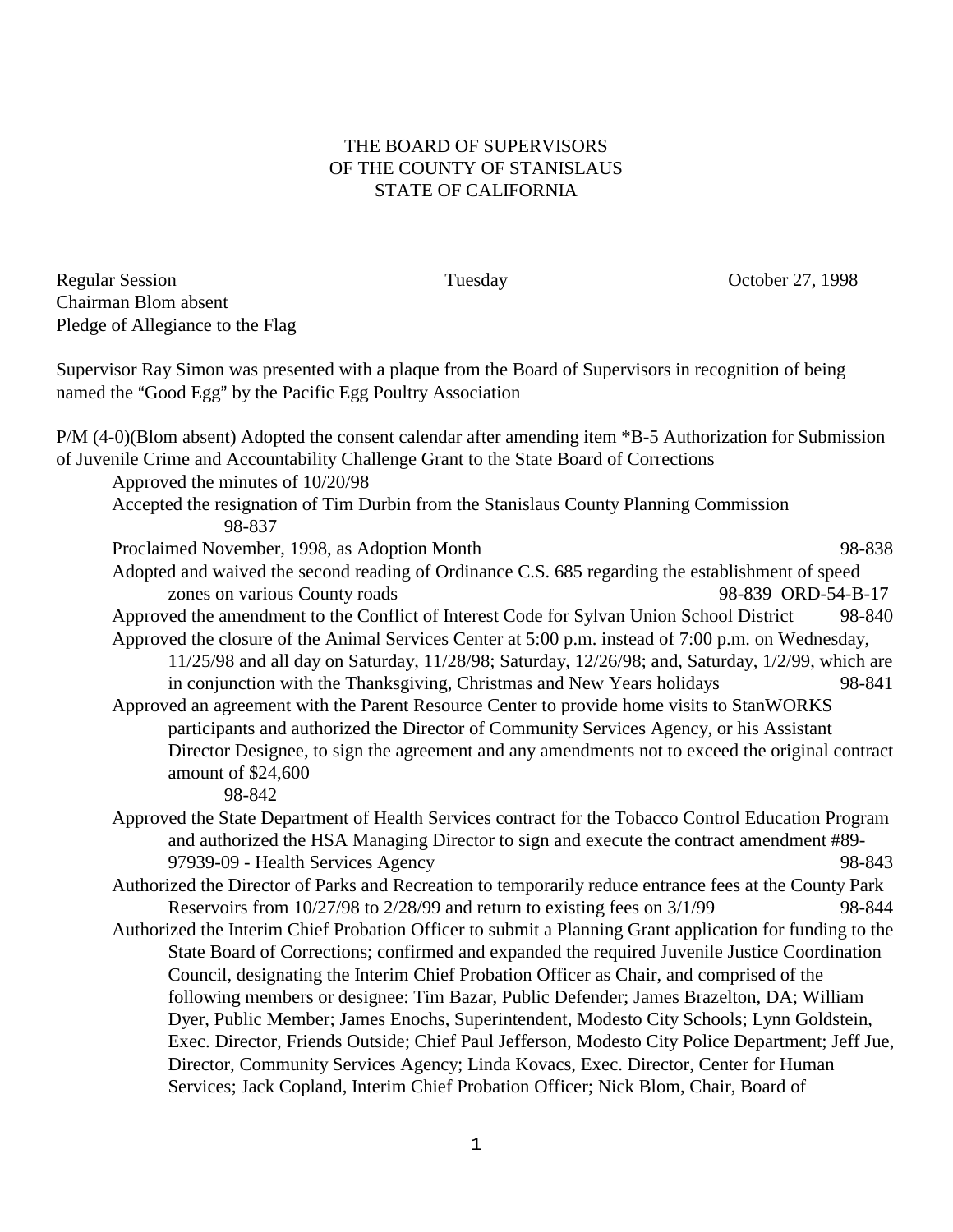## THE BOARD OF SUPERVISORS OF THE COUNTY OF STANISLAUS STATE OF CALIFORNIA

Regular Session Tuesday October 27, 1998 Chairman Blom absent Pledge of Allegiance to the Flag

Supervisor Ray Simon was presented with a plaque from the Board of Supervisors in recognition of being named the "Good Egg" by the Pacific Egg Poultry Association

P/M (4-0)(Blom absent) Adopted the consent calendar after amending item \*B-5 Authorization for Submission of Juvenile Crime and Accountability Challenge Grant to the State Board of Corrections Approved the minutes of 10/20/98 Accepted the resignation of Tim Durbin from the Stanislaus County Planning Commission 98-837 Proclaimed November, 1998, as Adoption Month 98-838 Adopted and waived the second reading of Ordinance C.S. 685 regarding the establishment of speed zones on various County roads 98-839 ORD-54-B-17 Approved the amendment to the Conflict of Interest Code for Sylvan Union School District 98-840 Approved the closure of the Animal Services Center at 5:00 p.m. instead of 7:00 p.m. on Wednesday, 11/25/98 and all day on Saturday, 11/28/98; Saturday, 12/26/98; and, Saturday, 1/2/99, which are in conjunction with the Thanksgiving, Christmas and New Years holidays 98-841 Approved an agreement with the Parent Resource Center to provide home visits to StanWORKS participants and authorized the Director of Community Services Agency, or his Assistant Director Designee, to sign the agreement and any amendments not to exceed the original contract amount of \$24,600 98-842 Approved the State Department of Health Services contract for the Tobacco Control Education Program and authorized the HSA Managing Director to sign and execute the contract amendment #89- 97939-09 - Health Services Agency 98-843 Authorized the Director of Parks and Recreation to temporarily reduce entrance fees at the County Park Reservoirs from  $10/27/98$  to  $2/28/99$  and return to existing fees on  $3/1/99$  98-844 Authorized the Interim Chief Probation Officer to submit a Planning Grant application for funding to the State Board of Corrections; confirmed and expanded the required Juvenile Justice Coordination Council, designating the Interim Chief Probation Officer as Chair, and comprised of the following members or designee: Tim Bazar, Public Defender; James Brazelton, DA; William

> Dyer, Public Member; James Enochs, Superintendent, Modesto City Schools; Lynn Goldstein, Exec. Director, Friends Outside; Chief Paul Jefferson, Modesto City Police Department; Jeff Jue, Director, Community Services Agency; Linda Kovacs, Exec. Director, Center for Human Services; Jack Copland, Interim Chief Probation Officer; Nick Blom, Chair, Board of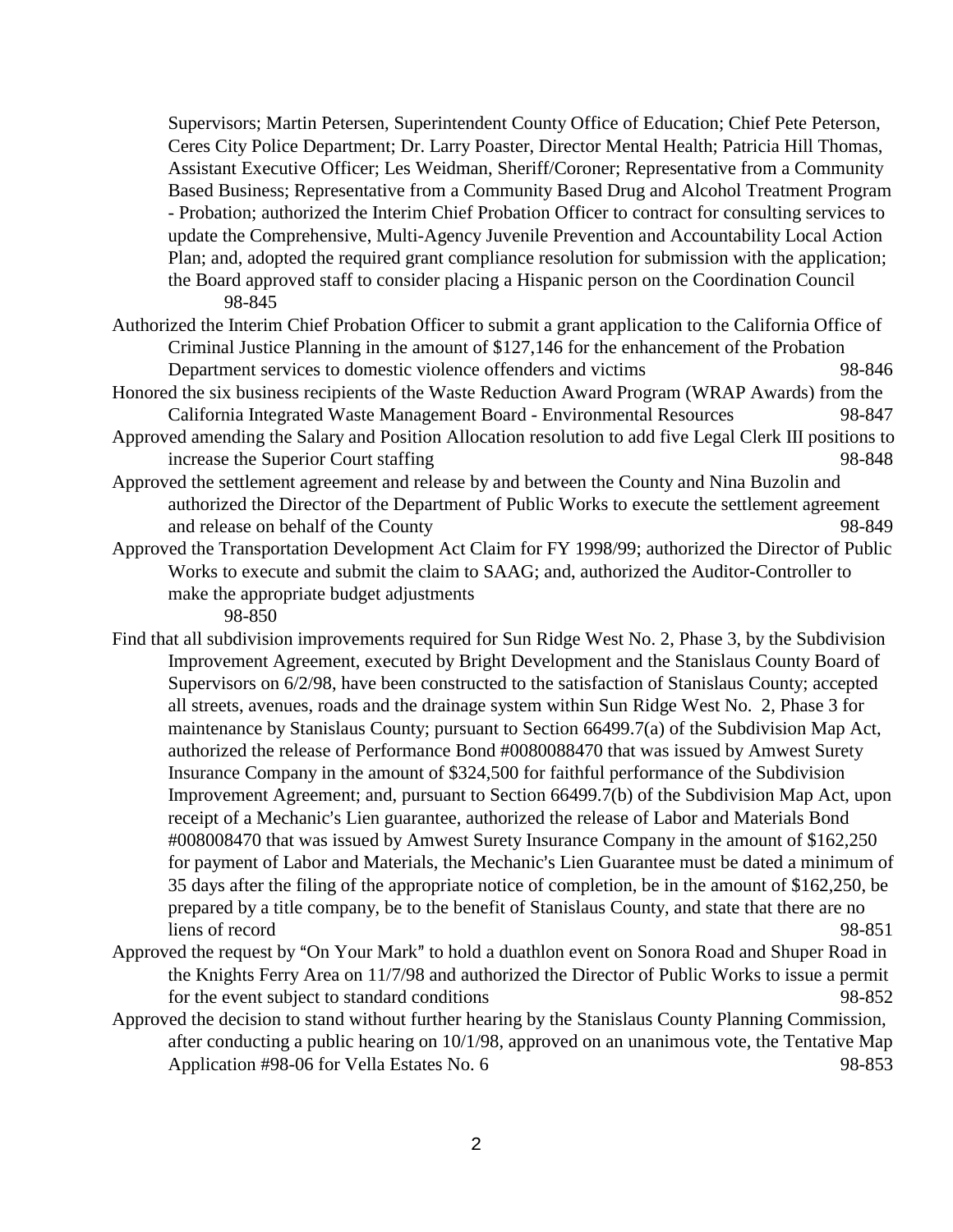Supervisors; Martin Petersen, Superintendent County Office of Education; Chief Pete Peterson, Ceres City Police Department; Dr. Larry Poaster, Director Mental Health; Patricia Hill Thomas, Assistant Executive Officer; Les Weidman, Sheriff/Coroner; Representative from a Community Based Business; Representative from a Community Based Drug and Alcohol Treatment Program - Probation; authorized the Interim Chief Probation Officer to contract for consulting services to update the Comprehensive, Multi-Agency Juvenile Prevention and Accountability Local Action Plan; and, adopted the required grant compliance resolution for submission with the application; the Board approved staff to consider placing a Hispanic person on the Coordination Council 98-845

- Authorized the Interim Chief Probation Officer to submit a grant application to the California Office of Criminal Justice Planning in the amount of \$127,146 for the enhancement of the Probation Department services to domestic violence offenders and victims 98-846
- Honored the six business recipients of the Waste Reduction Award Program (WRAP Awards) from the California Integrated Waste Management Board - Environmental Resources 98-847
- Approved amending the Salary and Position Allocation resolution to add five Legal Clerk III positions to increase the Superior Court staffing 98-848
- Approved the settlement agreement and release by and between the County and Nina Buzolin and authorized the Director of the Department of Public Works to execute the settlement agreement and release on behalf of the County and release on behalf of the County and release on  $98-849$
- Approved the Transportation Development Act Claim for FY 1998/99; authorized the Director of Public Works to execute and submit the claim to SAAG; and, authorized the Auditor-Controller to make the appropriate budget adjustments
	- 98-850
- Find that all subdivision improvements required for Sun Ridge West No. 2, Phase 3, by the Subdivision Improvement Agreement, executed by Bright Development and the Stanislaus County Board of Supervisors on 6/2/98, have been constructed to the satisfaction of Stanislaus County; accepted all streets, avenues, roads and the drainage system within Sun Ridge West No. 2, Phase 3 for maintenance by Stanislaus County; pursuant to Section 66499.7(a) of the Subdivision Map Act, authorized the release of Performance Bond #0080088470 that was issued by Amwest Surety Insurance Company in the amount of \$324,500 for faithful performance of the Subdivision Improvement Agreement; and, pursuant to Section 66499.7(b) of the Subdivision Map Act, upon receipt of a Mechanic's Lien guarantee, authorized the release of Labor and Materials Bond #008008470 that was issued by Amwest Surety Insurance Company in the amount of \$162,250 for payment of Labor and Materials, the Mechanic's Lien Guarantee must be dated a minimum of 35 days after the filing of the appropriate notice of completion, be in the amount of \$162,250, be prepared by a title company, be to the benefit of Stanislaus County, and state that there are no liens of record 98-851
- Approved the request by "On Your Mark" to hold a duathlon event on Sonora Road and Shuper Road in the Knights Ferry Area on 11/7/98 and authorized the Director of Public Works to issue a permit for the event subject to standard conditions 98-852
- Approved the decision to stand without further hearing by the Stanislaus County Planning Commission, after conducting a public hearing on 10/1/98, approved on an unanimous vote, the Tentative Map Application #98-06 for Vella Estates No. 6 98-853